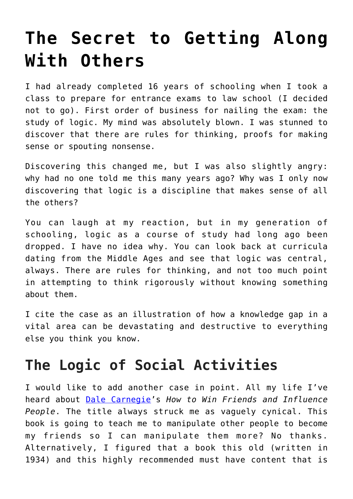# **[The Secret to Getting Along](https://intellectualtakeout.org/2017/08/the-secret-to-getting-along-with-others/) [With Others](https://intellectualtakeout.org/2017/08/the-secret-to-getting-along-with-others/)**

I had already completed 16 years of schooling when I took a class to prepare for entrance exams to law school (I decided not to go). First order of business for nailing the exam: the study of logic. My mind was absolutely blown. I was stunned to discover that there are rules for thinking, proofs for making sense or spouting nonsense.

Discovering this changed me, but I was also slightly angry: why had no one told me this many years ago? Why was I only now discovering that logic is a discipline that makes sense of all the others?

You can laugh at my reaction, but in my generation of schooling, logic as a course of study had long ago been dropped. I have no idea why. You can look back at curricula dating from the Middle Ages and see that logic was central, always. There are rules for thinking, and not too much point in attempting to think rigorously without knowing something about them.

I cite the case as an illustration of how a knowledge gap in a vital area can be devastating and destructive to everything else you think you know.

### **The Logic of Social Activities**

I would like to add another case in point. All my life I've heard about [Dale Carnegie'](https://en.wikipedia.org/wiki/Dale_Carnegie)s *How to Win Friends and Influence People*. The title always struck me as vaguely cynical. This book is going to teach me to manipulate other people to become my friends so I can manipulate them more? No thanks. Alternatively, I figured that a book this old (written in 1934) and this highly recommended must have content that is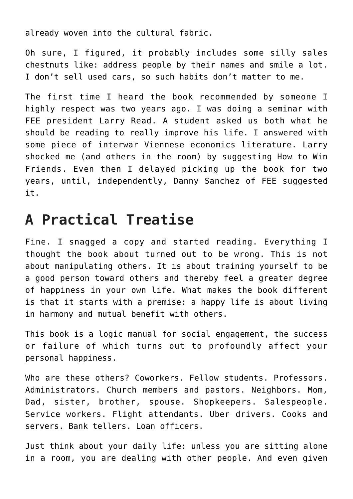already woven into the cultural fabric.

Oh sure, I figured, it probably includes some silly sales chestnuts like: address people by their names and smile a lot. I don't sell used cars, so such habits don't matter to me.

The first time I heard the book recommended by someone I highly respect was two years ago. I was doing a seminar with FEE president Larry Read. A student asked us both what he should be reading to really improve his life. I answered with some piece of interwar Viennese economics literature. Larry shocked me (and others in the room) by suggesting How to Win Friends. Even then I delayed picking up the book for two years, until, independently, Danny Sanchez of FEE suggested it.

# **A Practical Treatise**

Fine. I snagged a copy and started reading. Everything I thought the book about turned out to be wrong. This is not about manipulating others. It is about training yourself to be a good person toward others and thereby feel a greater degree of happiness in your own life. What makes the book different is that it starts with a premise: a happy life is about living in harmony and mutual benefit with others.

This book is a logic manual for social engagement, the success or failure of which turns out to profoundly affect your personal happiness.

Who are these others? Coworkers. Fellow students. Professors. Administrators. Church members and pastors. Neighbors. Mom, Dad, sister, brother, spouse. Shopkeepers. Salespeople. Service workers. Flight attendants. Uber drivers. Cooks and servers. Bank tellers. Loan officers.

Just think about your daily life: unless you are sitting alone in a room, you are dealing with other people. And even given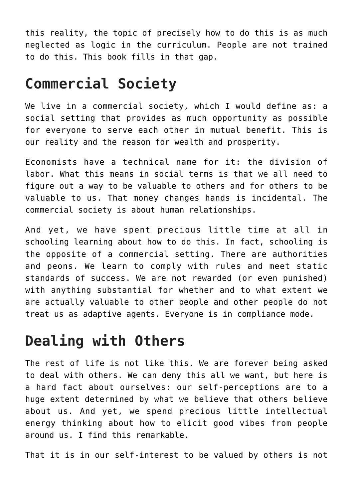this reality, the topic of precisely how to do this is as much neglected as logic in the curriculum. People are not trained to do this. This book fills in that gap.

# **Commercial Society**

We live in a commercial society, which I would define as: a social setting that provides as much opportunity as possible for everyone to serve each other in mutual benefit. This is our reality and the reason for wealth and prosperity.

Economists have a technical name for it: the division of labor. What this means in social terms is that we all need to figure out a way to be valuable to others and for others to be valuable to us. That money changes hands is incidental. The commercial society is about human relationships.

And yet, we have spent precious little time at all in schooling learning about how to do this. In fact, schooling is the opposite of a commercial setting. There are authorities and peons. We learn to comply with rules and meet static standards of success. We are not rewarded (or even punished) with anything substantial for whether and to what extent we are actually valuable to other people and other people do not treat us as adaptive agents. Everyone is in compliance mode.

#### **Dealing with Others**

The rest of life is not like this. We are forever being asked to deal with others. We can deny this all we want, but here is a hard fact about ourselves: our self-perceptions are to a huge extent determined by what we believe that others believe about us. And yet, we spend precious little intellectual energy thinking about how to elicit good vibes from people around us. I find this remarkable.

That it is in our self-interest to be valued by others is not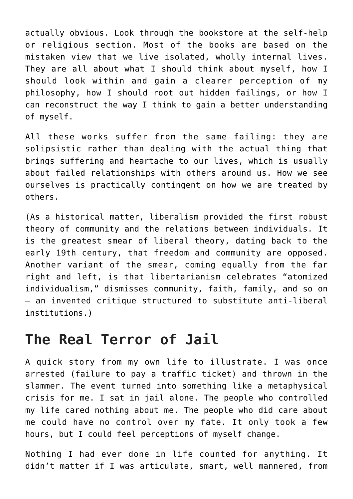actually obvious. Look through the bookstore at the self-help or religious section. Most of the books are based on the mistaken view that we live isolated, wholly internal lives. They are all about what I should think about myself, how I should look within and gain a clearer perception of my philosophy, how I should root out hidden failings, or how I can reconstruct the way I think to gain a better understanding of myself.

All these works suffer from the same failing: they are solipsistic rather than dealing with the actual thing that brings suffering and heartache to our lives, which is usually about failed relationships with others around us. How we see ourselves is practically contingent on how we are treated by others.

(As a historical matter, liberalism provided the first robust theory of community and the relations between individuals. It is the greatest smear of liberal theory, dating back to the early 19th century, that freedom and community are opposed. Another variant of the smear, coming equally from the far right and left, is that libertarianism celebrates "atomized individualism," dismisses community, faith, family, and so on – an invented critique structured to substitute anti-liberal institutions.)

#### **The Real Terror of Jail**

A quick story from my own life to illustrate. I was once arrested (failure to pay a traffic ticket) and thrown in the slammer. The event turned into something like a metaphysical crisis for me. I sat in jail alone. The people who controlled my life cared nothing about me. The people who did care about me could have no control over my fate. It only took a few hours, but I could feel perceptions of myself change.

Nothing I had ever done in life counted for anything. It didn't matter if I was articulate, smart, well mannered, from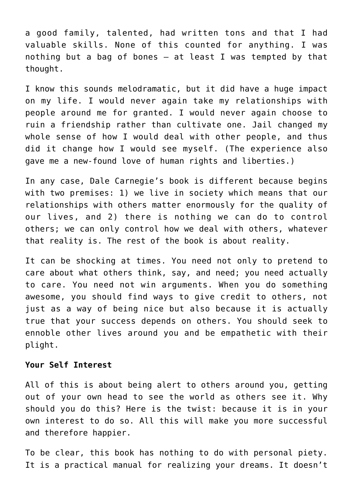a good family, talented, had written tons and that I had valuable skills. None of this counted for anything. I was nothing but a bag of bones – at least I was tempted by that thought.

I know this sounds melodramatic, but it did have a huge impact on my life. I would never again take my relationships with people around me for granted. I would never again choose to ruin a friendship rather than cultivate one. Jail changed my whole sense of how I would deal with other people, and thus did it change how I would see myself. (The experience also gave me a new-found love of human rights and liberties.)

In any case, Dale Carnegie's book is different because begins with two premises: 1) we live in society which means that our relationships with others matter enormously for the quality of our lives, and 2) there is nothing we can do to control others; we can only control how we deal with others, whatever that reality is. The rest of the book is about reality.

It can be shocking at times. You need not only to pretend to care about what others think, say, and need; you need actually to care. You need not win arguments. When you do something awesome, you should find ways to give credit to others, not just as a way of being nice but also because it is actually true that your success depends on others. You should seek to ennoble other lives around you and be empathetic with their plight.

#### **Your Self Interest**

All of this is about being alert to others around you, getting out of your own head to see the world as others see it. Why should you do this? Here is the twist: because it is in your own interest to do so. All this will make you more successful and therefore happier.

To be clear, this book has nothing to do with personal piety. It is a practical manual for realizing your dreams. It doesn't